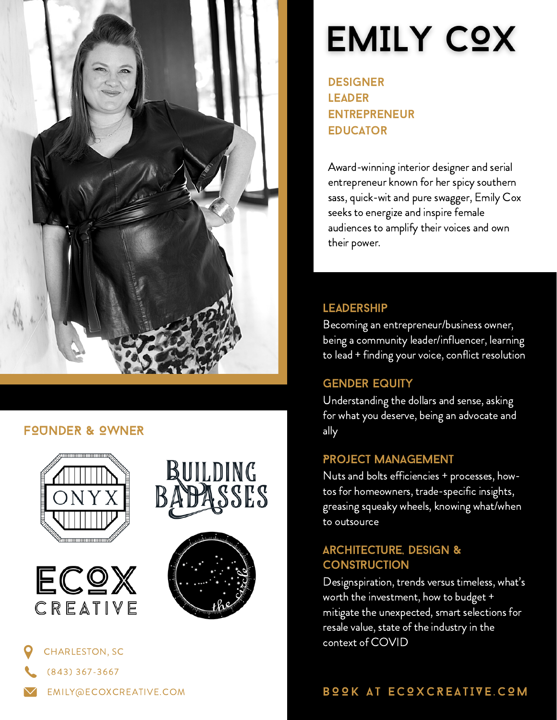

### **FOUNDER & OWNER**











- (843) 367-3667
- EMILY@ECOXCREATIVE.COM

# **EMILY COX**

**DESIGNER LEADER** entrepreneur **EDUCATOR** 

Award-winning interior designer and serial entrepreneur known for her spicy southern sass, quick-wit and pure swagger, Emily Cox seeks to energize and inspire female audiences to amplify their voices and own their power.

#### **LEADERSHIP**

Becoming an entrepreneur/business owner, being a community leader/influencer, learning to lead + finding your voice, conflict resolution

### **GENDER EQUITY**

Understanding the dollars and sense, asking for what you deserve, being an advocate and ally

### Project Management

Nuts and bolts efficiencies + processes, howtos for homeowners, trade-specific insights, greasing squeaky wheels, knowing what/when to outsource

## Architecture, Design & **CONSTRUCTION**

Designspiration, trends versus timeless, what's worth the investment, how to budget + mitigate the unexpected, smart selections for resale value, state of the industry in the context of COVID

# B O OK AT ECOXCREATIVE. COM